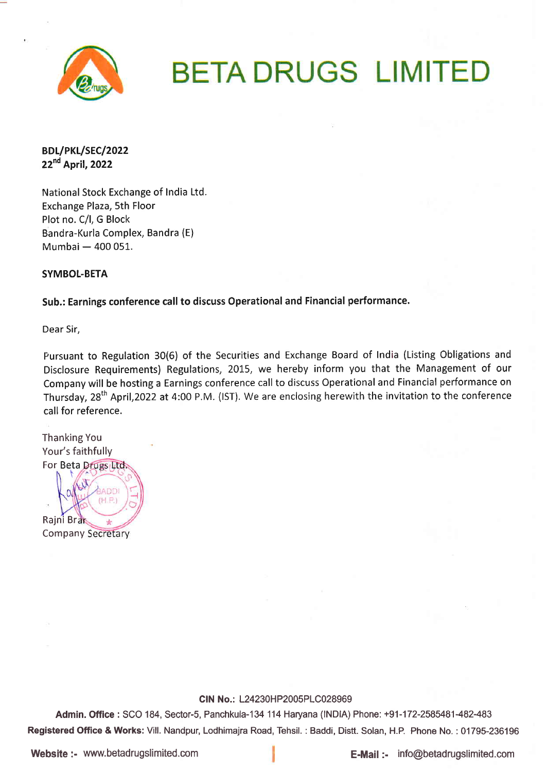

# **BETA DRUGS LIMITED**

BDL/PKL/SEC/2022 22<sup>nd</sup> April, 2022

National Stock Exchange of India Ltd. Exchange Plaza, 5th Floor Plot no. C/1, G Block Bandra-Kurla Complex, Bandra (E) Mumbai — 400 051.

SYMBOL-BETA

Sub.: Earnings conference call to discuss Operational and Financial performance.

Dear Sir,

Pursuant to Regulation 30(6) of the Securities and Exchange Board of India (Listing Obligations and Disclosure Requirements) Regulations, 2015, we hereby inform you that the Management of our Company will be hosting a Earnings conference call to discuss Operational and Financial performance on Thursday, 28<sup>th</sup> April,2022 at 4:00 P.M. (IST). We are enclosing herewith the invitation to the conference call for reference.

Thanking You Your's faithfully For Beta<br>/ \ ADD Rajni Br **Company Secretary** 

CIN No.: L24230HP2005PLC028969

Admin. Office : SCO 184, Sector-S, Panchkula-134 114 Haryana (lNDlA) Phone: +91-172-2585481-482-483 Registered Office & Works: Vill. Nandpur, Lodhimajra Road, Tehsil. : Baddi, Distt. Solan, H.P. Phone No. : 01795-236196

Website :- www.betadrugslimited.com **E-Mail :-** info@betadrugslimited.com